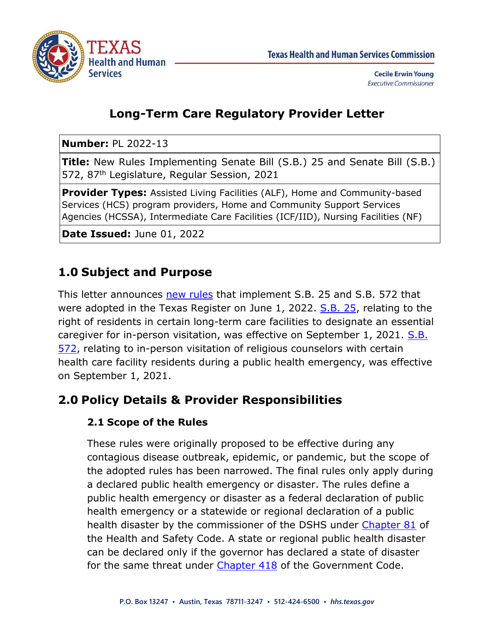

# **Long-Term Care Regulatory Provider Letter**

**Number:** PL 2022-13

**Title:** New Rules Implementing Senate Bill (S.B.) 25 and Senate Bill (S.B.) 572, 87<sup>th</sup> Legislature, Regular Session, 2021

**Provider Types:** Assisted Living Facilities (ALF), Home and Community-based Services (HCS) program providers, Home and Community Support Services Agencies (HCSSA), Intermediate Care Facilities (ICF/IID), Nursing Facilities (NF)

**Date Issued:** June 01, 2022

# **1.0 Subject and Purpose**

This letter announces [new rules](https://texreg.sos.state.tx.us/public/readtac$ext.ViewTAC?tac_view=4&ti=26&pt=1&ch=570) that implement S.B. 25 and S.B. 572 that were adopted in the Texas Register on June 1, 2022. [S.B. 25,](https://capitol.texas.gov/tlodocs/87R/billtext/pdf/SB00025F.pdf#navpanes=0) relating to the right of residents in certain long-term care facilities to designate an essential caregiver for in-person visitation, was effective on September 1, 2021. [S.B.](https://capitol.texas.gov/tlodocs/87R/billtext/pdf/SB00572F.pdf#navpanes=0)  [572,](https://capitol.texas.gov/tlodocs/87R/billtext/pdf/SB00572F.pdf#navpanes=0) relating to in-person visitation of religious counselors with certain health care facility residents during a public health emergency, was effective on September 1, 2021.

## **2.0 Policy Details & Provider Responsibilities**

### **2.1 Scope of the Rules**

These rules were originally proposed to be effective during any contagious disease outbreak, epidemic, or pandemic, but the scope of the adopted rules has been narrowed. The final rules only apply during a declared public health emergency or disaster. The rules define a public health emergency or disaster as a federal declaration of public health emergency or a statewide or regional declaration of a public health disaster by the commissioner of the DSHS under [Chapter 81](https://statutes.capitol.texas.gov/SOTWDocs/HS/htm/HS.81.htm) of the Health and Safety Code. A state or regional public health disaster can be declared only if the governor has declared a state of disaster for the same threat under [Chapter 418](https://statutes.capitol.texas.gov/Docs/GV/htm/GV.418.htm) of the Government Code.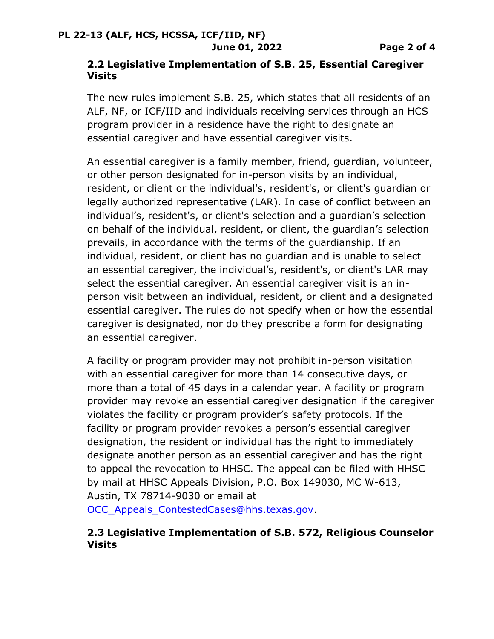### **2.2 Legislative Implementation of S.B. 25, Essential Caregiver Visits**

The new rules implement S.B. 25, which states that all residents of an ALF, NF, or ICF/IID and individuals receiving services through an HCS program provider in a residence have the right to designate an essential caregiver and have essential caregiver visits.

An essential caregiver is a family member, friend, guardian, volunteer, or other person designated for in-person visits by an individual, resident, or client or the individual's, resident's, or client's guardian or legally authorized representative (LAR). In case of conflict between an individual's, resident's, or client's selection and a guardian's selection on behalf of the individual, resident, or client, the guardian's selection prevails, in accordance with the terms of the guardianship. If an individual, resident, or client has no guardian and is unable to select an essential caregiver, the individual's, resident's, or client's LAR may select the essential caregiver. An essential caregiver visit is an inperson visit between an individual, resident, or client and a designated essential caregiver. The rules do not specify when or how the essential caregiver is designated, nor do they prescribe a form for designating an essential caregiver.

A facility or program provider may not prohibit in-person visitation with an essential caregiver for more than 14 consecutive days, or more than a total of 45 days in a calendar year. A facility or program provider may revoke an essential caregiver designation if the caregiver violates the facility or program provider's safety protocols. If the facility or program provider revokes a person's essential caregiver designation, the resident or individual has the right to immediately designate another person as an essential caregiver and has the right to appeal the revocation to HHSC. The appeal can be filed with HHSC by mail at HHSC Appeals Division, P.O. Box 149030, MC W-613, Austin, TX 78714-9030 or email at

OCC Appeals ContestedCases@hhs.texas.gov.

### **2.3 Legislative Implementation of S.B. 572, Religious Counselor Visits**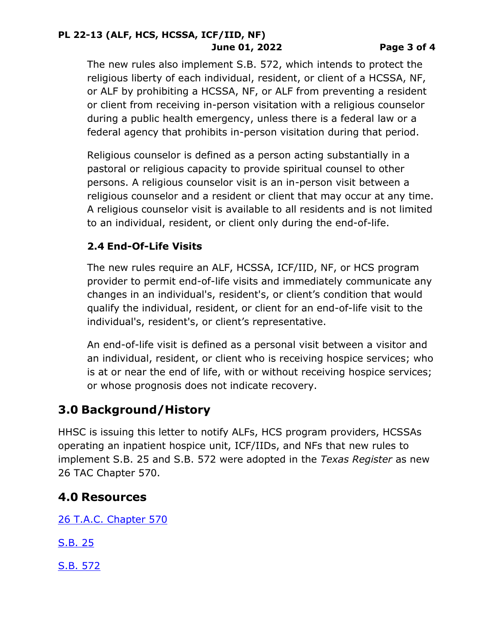#### **PL 22-13 (ALF, HCS, HCSSA, ICF/IID, NF) June 01, 2022 Page 3 of 4**

The new rules also implement S.B. 572, which intends to protect the religious liberty of each individual, resident, or client of a HCSSA, NF, or ALF by prohibiting a HCSSA, NF, or ALF from preventing a resident or client from receiving in-person visitation with a religious counselor during a public health emergency, unless there is a federal law or a federal agency that prohibits in-person visitation during that period.

Religious counselor is defined as a person acting substantially in a pastoral or religious capacity to provide spiritual counsel to other persons. A religious counselor visit is an in-person visit between a religious counselor and a resident or client that may occur at any time. A religious counselor visit is available to all residents and is not limited to an individual, resident, or client only during the end-of-life.

### **2.4 End-Of-Life Visits**

The new rules require an ALF, HCSSA, ICF/IID, NF, or HCS program provider to permit end-of-life visits and immediately communicate any changes in an individual's, resident's, or client's condition that would qualify the individual, resident, or client for an end-of-life visit to the individual's, resident's, or client's representative.

An end-of-life visit is defined as a personal visit between a visitor and an individual, resident, or client who is receiving hospice services; who is at or near the end of life, with or without receiving hospice services; or whose prognosis does not indicate recovery.

## **3.0 Background/History**

HHSC is issuing this letter to notify ALFs, HCS program providers, HCSSAs operating an inpatient hospice unit, ICF/IIDs, and NFs that new rules to implement S.B. 25 and S.B. 572 were adopted in the *Texas Register* as new 26 TAC Chapter 570.

### **4.0 Resources**

[26 T.A.C. Chapter 570](https://texreg.sos.state.tx.us/public/readtac$ext.ViewTAC?tac_view=4&ti=26&pt=1&ch=570)

[S.B. 25](https://capitol.texas.gov/tlodocs/87R/billtext/pdf/SB00025F.pdf#navpanes=0)

[S.B. 572](https://capitol.texas.gov/tlodocs/87R/billtext/pdf/SB00572F.pdf#navpanes=0)